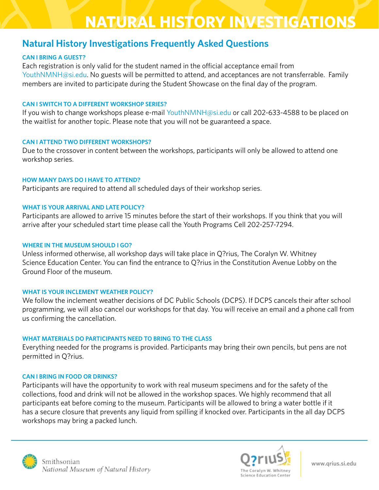# **NATURAL HISTORY INVESTIGATIONS**

## **Natural History Investigations Frequently Asked Questions**

### **CAN I BRING A GUEST?**

Each registration is only valid for the student named in the official acceptance email from [YouthNMNH@si.edu](mailto:YouthNMNH@si.edu). No guests will be permitted to attend, and acceptances are not transferrable. Family members are invited to participate during the Student Showcase on the final day of the program.

#### **CAN I SWITCH TO A DIFFERENT WORKSHOP SERIES?**

If you wish to change workshops please e-mail [YouthNMNH@si.edu](mailto:youthnmnh@si.edu) or call 202-633-4588 to be placed on the waitlist for another topic. Please note that you will not be guaranteed a space.

#### **CAN I ATTEND TWO DIFFERENT WORKSHOPS?**

Due to the crossover in content between the workshops, participants will only be allowed to attend one workshop series.

#### **HOW MANY DAYS DO I HAVE TO ATTEND?**

Participants are required to attend all scheduled days of their workshop series.

### **WHAT IS YOUR ARRIVAL AND LATE POLICY?**

Participants are allowed to arrive 15 minutes before the start of their workshops. If you think that you will arrive after your scheduled start time please call the Youth Programs Cell 202-257-7294.

### **WHERE IN THE MUSEUM SHOULD I GO?**

Unless informed otherwise, all workshop days will take place in Q?rius, The Coralyn W. Whitney Science Education Center. You can find the entrance to O?rius in the Constitution Avenue Lobby on the Ground Floor of the museum.

#### **WHAT IS YOUR INCLEMENT WEATHER POLICY?**

We follow the inclement weather decisions of DC Public Schools (DCPS). If DCPS cancels their after school programming, we will also cancel our workshops for that day. You will receive an email and a phone call from us confrming the cancellation.

#### **WHAT MATERIALS DO PARTICIPANTS NEED TO BRING TO THE CLASS**

Everything needed for the programs is provided. Participants may bring their own pencils, but pens are not permitted in Q?rius.

### **CAN I BRING IN FOOD OR DRINKS?**

Participants will have the opportunity to work with real museum specimens and for the safety of the collections, food and drink will not be allowed in the workshop spaces. We highly recommend that all participants eat before coming to the museum. Participants will be allowed to bring a water bottle if it has a secure closure that prevents any liquid from spilling if knocked over. Participants in the all day DCPS workshops may bring a packed lunch.